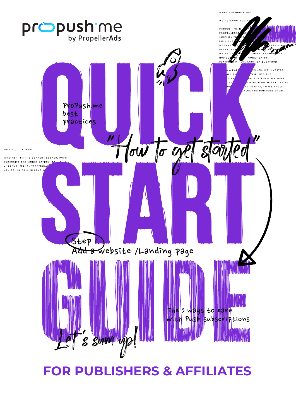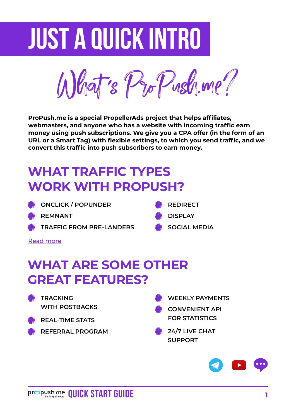# **Just a quick intro**

What ' s ProPush.me?

**ProPush.me is a special PropellerAds project that helps affiliates, webmasters, and anyone who has a website with incoming traffic earn money using push subscriptions. We give you a CPA offer (in the form of an URL or a Smart Tag) with flexible settings, to which you send traffic, and we convert this traffic into push subscribers to earn money.**

## **WHAT TRAFFIC TYPES WORK WITH PROPUSH?**

| <b>WE ONCLICK / POPUNDER</b> | <b>WE</b> REDIRECT |
|------------------------------|--------------------|
| dilin provinsi asl me        | $\mathbf{u}$       |

- **REMNANT**
- **TRAFFIC FROM PRE-LANDERS**
- 
- **DISPLAY**
- **SOCIAL MEDIA**

[Read more](https://propush.me/tpost/1h0in5hdl1-propushme-tag-and-traffic-types-how-to-m)

## **WHAT ARE SOME OTHER GREAT FEATURES?**

- **TRACKING WITH POSTBACKS**
- **REAL-TIME STATS**
- **REFERRAL PROGRAM**
- **WEEKLY PAYMENTS**
	- **CONVENIENT API FOR STATISTICS**
- **24/7 LIVE CHAT SUPPORT**

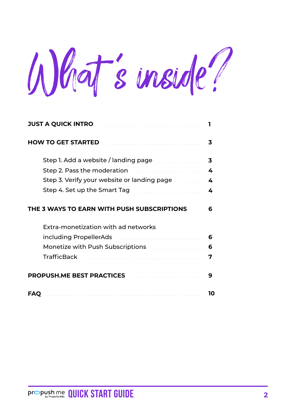What 's inside?

| <b>JUST A QUICK INTRO</b>                   |    |
|---------------------------------------------|----|
| <b>HOW TO GET STARTED</b>                   | 3  |
| Step 1. Add a website / landing page        | 3  |
| Step 2. Pass the moderation                 | 4  |
| Step 3. Verify your website or landing page | 4  |
| Step 4. Set up the Smart Tag                | 4  |
| THE 3 WAYS TO EARN WITH PUSH SUBSCRIPTIONS  | 6  |
| Extra-monetization with ad networks         |    |
| including PropellerAds                      | 6  |
| Monetize with Push Subscriptions            | 6  |
| <b>TrafficBack</b>                          | 7  |
| <b>PROPUSH.ME BEST PRACTICES</b>            | 9  |
| <b>FAO</b>                                  | 10 |

**Pr**  $\sum_{\text{by Properties} } \text{OPE}$  **QUICK START GUIDE** 2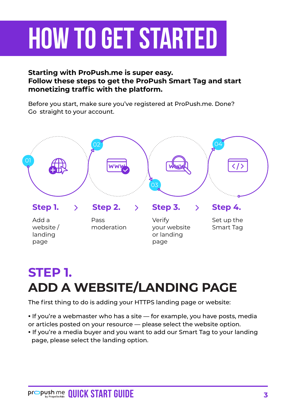# <span id="page-3-0"></span>**How to get started**

#### **Starting with ProPush.me is super easy. Follow these steps to get the ProPush Smart Tag and start monetizing traffic with the platform.**

Before you start, make sure you've registered at ProPush.me. Done? Go straight to your account.



## **STEP 1. ADD A WEBSITE/LANDING PAGE**

The first thing to do is adding your HTTPS landing page or website:

**•** If you're a webmaster who has a site — for example, you have posts, media or articles posted on your resource — please select the website option.

**•** If you're a media buyer and you want to add our Smart Tag to your landing page, please select the landing option.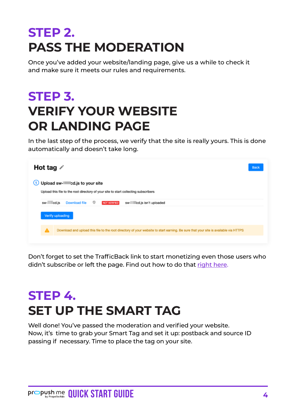## <span id="page-4-0"></span>**STEP 2. PASS THE MODERATION**

Once you've added your website/landing page, give us a while to check it and make sure it meets our rules and requirements.

## **STEP 3. VERIFY YOUR WEBSITE OR LANDING PAGE**

In the last step of the process, we verify that the site is really yours. This is done automatically and doesn't take long.

| Hot tag $\angle$                                                                                                                         | <b>Back</b> |  |  |  |
|------------------------------------------------------------------------------------------------------------------------------------------|-------------|--|--|--|
| 1) Upload sw-cd.js to your site                                                                                                          |             |  |  |  |
| Upload this file to the root directory of your site to start collecting subscribers                                                      |             |  |  |  |
| O<br>sw-cd.js<br>Download file<br><b>NOT VERIFIED</b><br>cd.js isn't uploaded<br>SW-                                                     |             |  |  |  |
| Verify uploading                                                                                                                         |             |  |  |  |
| Download and upload this file to the root directory of your website to start earning. Be sure that your site is available via HTTPS<br>А |             |  |  |  |
|                                                                                                                                          |             |  |  |  |

Don't forget to set the TrafficBack link to start monetizing even those users who didn't subscribe or left the page. Find out how to do that [right here.](https://help.propellerads.com/en/articles/3039657-how-to-implement-trafficback-link-in-propush-me-code)

## **STEP 4. SET UP THE SMART TAG**

Well done! You've passed the moderation and verified your website. Now, it's time to grab your Smart Tag and set it up: postback and source ID passing if necessary. Time to place the tag on your site.

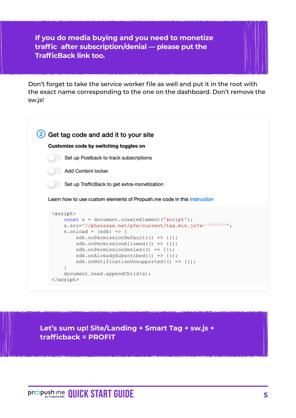**If you do media buying and you need to monetize traffic after subscription/denial — please put the TrafficBack link too.**

Don't forget to take the service worker file as well and put it in the root with the exact name corresponding to the one on the dashboard. Don't remove the sw.js!

|                                                                                                                                                                                                                                                                                                                                                                                                                                                                                                                                   | Get tag code and add it to your site                                    |
|-----------------------------------------------------------------------------------------------------------------------------------------------------------------------------------------------------------------------------------------------------------------------------------------------------------------------------------------------------------------------------------------------------------------------------------------------------------------------------------------------------------------------------------|-------------------------------------------------------------------------|
|                                                                                                                                                                                                                                                                                                                                                                                                                                                                                                                                   | Customize code by switching toggles on                                  |
|                                                                                                                                                                                                                                                                                                                                                                                                                                                                                                                                   | Set up Postback to track subscriptions                                  |
|                                                                                                                                                                                                                                                                                                                                                                                                                                                                                                                                   | Add Content locker                                                      |
|                                                                                                                                                                                                                                                                                                                                                                                                                                                                                                                                   | Set up TrafficBack to get extra-monetization                            |
|                                                                                                                                                                                                                                                                                                                                                                                                                                                                                                                                   | Learn how to use custom elements of Propush.me code in this Instruction |
| <script></th><th>const s = document.createElement('script');<br>s.src='//phoossax.net/pfe/current/tag.min.js?z=<br>٠.<br><math>s.</math>onload = <math>(sdk)</math> => {<br><math>sdk. on PermissionDefault() \Rightarrow \{\})</math>;<br><math>sdk. on PermissionAlloved() => {}</math><br><math>sdk. on Permission Denied(() =&gt; {}')</math>;<br>sdk.onAlreadySubscribed(() => {});<br>sdk.onNotificationUnsupported(() => {});</th></tr><tr><td></td><td>document.head.appendChild(s);</td></tr><tr><td></script> <td></td> |                                                                         |

**Let's sum up! Site/Landing + Smart Tag + sw.js + trafficback = PROFIT**

**Pr**  $\sum_{\text{by Properties}}$  **QUICK START GUIDE** 5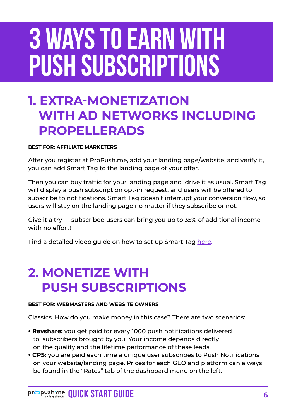# <span id="page-6-0"></span>**3 ways to earn with Push subscriptions**

### **1. EXTRA-MONETIZATION WITH AD NETWORKS INCLUDING PROPELLERADS**

#### **BEST FOR: AFFILIATE MARKETERS**

After you register at ProPush.me, add your landing page/website, and verify it, you can add Smart Tag to the landing page of your offer.

Then you can buy traffic for your landing page and drive it as usual. Smart Tag will display a push subscription opt-in request, and users will be offered to subscribe to notifications. Smart Tag doesn't interrupt your conversion flow, so users will stay on the landing page no matter if they subscribe or not.

Give it a try — subscribed users can bring you up to 35% of additional income with no effort!

Find a detailed video guide on how to set up Smart Tag [here.](https://www.youtube.com/watch?v=9HvxxvsNNLI)

## **2. MONETIZE WITH PUSH SUBSCRIPTIONS**

#### **BEST FOR: WEBMASTERS AND WEBSITE OWNERS**

Classics. How do you make money in this case? There are two scenarios:

- **Revshare:** you get paid for every 1000 push notifications delivered to subscribers brought by you. Your income depends directly on the quality and the lifetime performance of these leads.
- **CPS:** you are paid each time a unique user subscribes to Push Notifications on your website/landing page. Prices for each GEO and platform can always be found in the "Rates" tab of the dashboard menu on the left.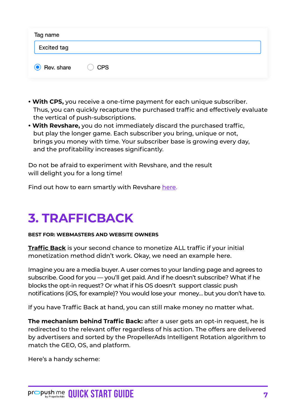<span id="page-7-0"></span>

| Tag name    |                |  |  |  |
|-------------|----------------|--|--|--|
| Excited tag |                |  |  |  |
| Rev. share  | $\bigcirc$ CPS |  |  |  |

- **With CPS,** you receive a one-time payment for each unique subscriber. Thus, you can quickly recapture the purchased traffic and effectively evaluate the vertical of push-subscriptions.
- **With Revshare,** you do not immediately discard the purchased traffic, but play the longer game. Each subscriber you bring, unique or not, brings you money with time. Your subscriber base is growing every day, and the profitability increases significantly.

Do not be afraid to experiment with Revshare, and the result will delight you for a long time!

Find out how to earn smartly with Revshare [here.](https://propush.me/tpost/39a4o75ya1-how-revshare-and-push-subscriptions-can)

## **3. TRAFFICBACK**

#### **BEST FOR: WEBMASTERS AND WEBSITE OWNERS**

**[Traffic Back](https://propush.me/tpost/ukm1vkh001-five-scenarios-of-trafficback-monetizati)** is your second chance to monetize ALL traffic if your initial monetization method didn't work. Okay, we need an example here.

Imagine you are a media buyer. A user comes to your landing page and agrees to subscribe. Good for you — you'll get paid. And if he doesn't subscribe? What if he blocks the opt-in request? Or what if his OS doesn't support classic push notifications (iOS, for example)? You would lose your money… but you don't have to.

If you have Traffic Back at hand, you can still make money no matter what.

**The mechanism behind Traffic Back:** after a user gets an opt-in request, he is redirected to the relevant offer regardless of his action. The offers are delivered by advertisers and sorted by the PropellerAds Intelligent Rotation algorithm to match the GEO, OS, and platform.

Here's a handy scheme: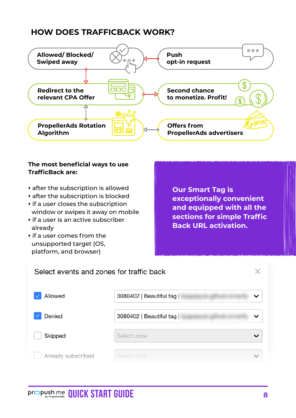### **HOW DOES TRAFFICBACK WORK?**



#### **The most beneficial ways to use TrafficBack are:**

- after the subscription is allowed
- after the subscription is blocked
- if a user closes the subscription window or swipes it away on mobile **•** if a user is an active subscriber
- already
- if a user comes from the unsupported target (OS, platform, and browser)

**Our Smart Tag is exceptionally convenient and equipped with all the sections for simple Traffic Back URL activation.**

| Select events and zones for traffic back |                         |  |
|------------------------------------------|-------------------------|--|
| Allowed                                  | 3080402   Beautiful tag |  |
| Denied                                   | 3080402   Beautiful tag |  |
| Skipped                                  | Select zone             |  |
| Already subscribed                       | Select zone             |  |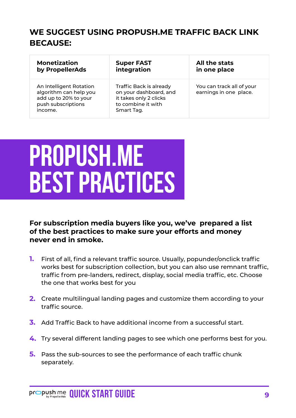### <span id="page-9-0"></span>**WE SUGGEST USING PROPUSH.ME TRAFFIC BACK LINK BECAUSE:**

| <b>Monetization</b>                                                                                         | <b>Super FAST</b>                                                                                               | All the stats                                       |
|-------------------------------------------------------------------------------------------------------------|-----------------------------------------------------------------------------------------------------------------|-----------------------------------------------------|
| by PropellerAds                                                                                             | integration                                                                                                     | in one place                                        |
| An Intelligent Rotation<br>algorithm can help you<br>add up to 20% to your<br>push subscriptions<br>income. | Traffic Back is already<br>on your dashboard, and<br>it takes only 2 clicks<br>to combine it with<br>Smart Tag. | You can track all of your<br>earnings in one place. |

## **Propush.me best practices**

**For subscription media buyers like you, we've prepared a list of the best practices to make sure your efforts and money never end in smoke.**

- First of all, find a relevant traffic source. Usually, popunder/onclick traffic works best for subscription collection, but you can also use remnant traffic, traffic from pre-landers, redirect, display, social media traffic, etc. Choose the one that works best for you **1.**
- Create multilingual landing pages and customize them according to your **2.** traffic source.
- Add Traffic Back to have additional income from a successful start. **3.**
- Try several different landing pages to see which one performs best for you. **4.**
- **5.** Pass the sub-sources to see the performance of each traffic chunk separately.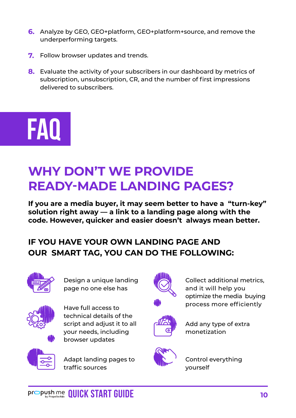- <span id="page-10-0"></span>Analyze by GEO, GEO+platform, GEO+platform+source, and remove the **6.** underperforming targets.
- **7.** Follow browser updates and trends.
- Evaluate the activity of your subscribers in our dashboard by metrics of **8.** subscription, unsubscription, CR, and the number of first impressions delivered to subscribers.

# **FAQ**

## **WHY DON'T WE PROVIDE READY-MADE LANDING PAGES?**

**If you are a media buyer, it may seem better to have a "turn-key" solution right away — a link to a landing page along with the code. However, quicker and easier doesn't always mean better.**

### **IF YOU HAVE YOUR OWN LANDING PAGE AND OUR SMART TAG, YOU CAN DO THE FOLLOWING:**



Design a unique landing page no one else has



Have full access to technical details of the script and adjust it to all your needs, including browser updates



Adapt landing pages to traffic sources



Collect additional metrics, and it will help you optimize the media buying process more efficiently



Add any type of extra monetization



Control everything yourself

**Pr**  $\bigcirc$  **Push Me QUICK START GUIDE 10**